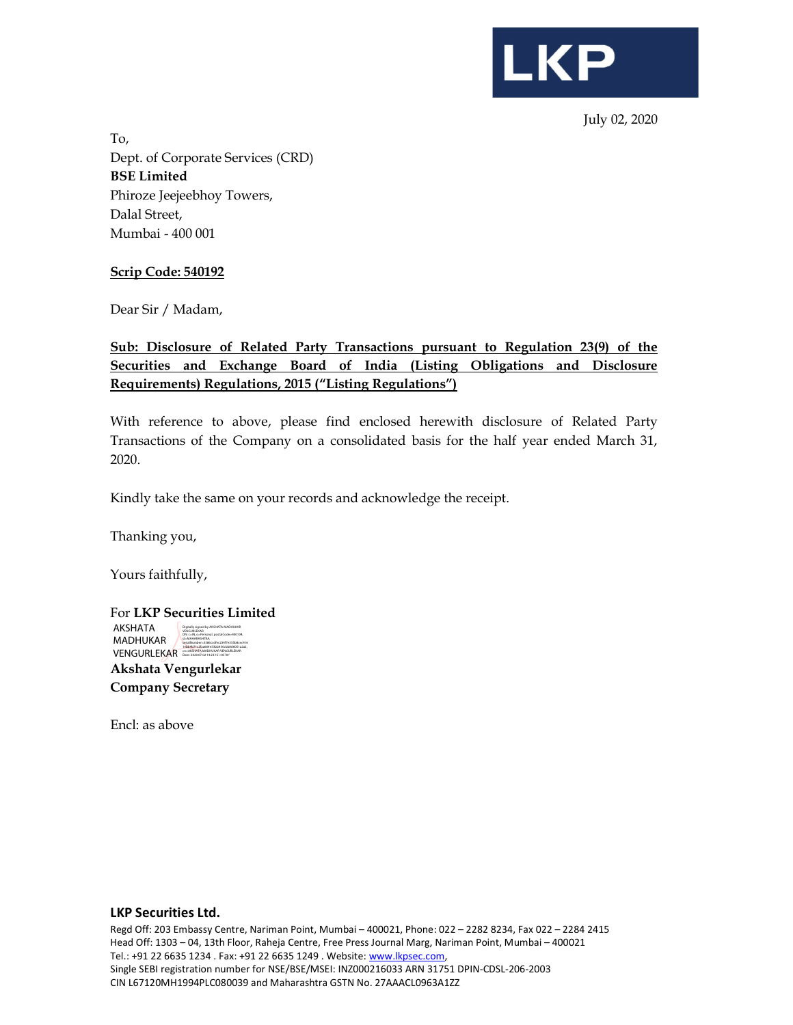

July 02, 2020

To, Dept. of Corporate Services (CRD) BSE Limited Phiroze Jeejeebhoy Towers, Dalal Street, Mumbai - 400 001

### Scrip Code: 540192

Dear Sir / Madam,

# Sub: Disclosure of Related Party Transactions pursuant to Regulation 23(9) of the Securities and Exchange Board of India (Listing Obligations and Disclosure Requirements) Regulations, 2015 ("Listing Regulations")

With reference to above, please find enclosed herewith disclosure of Related Party Transactions of the Company on a consolidated basis for the half year ended March 31, 2020.

Kindly take the same on your records and acknowledge the receipt.

Thanking you,

Yours faithfully,

| For <b>LKP Securities Limited</b> |                                                                                                         |  |
|-----------------------------------|---------------------------------------------------------------------------------------------------------|--|
| AKSHATA                           | Digitally signed by AKSHATA MADHUKAR<br><b>VENGLIBLEKAR</b><br>DN: c=IN. o=Personal. postalCode=400104. |  |
| MADHUKAR                          | st-MAHARASHTRA.<br>serialNumber=3386ccdfec234f7e355b8cec416<br>1ebb9b71c2faa664e53bb930cbb8d6051a2a2.   |  |
| <b>VENGURLEKAR</b>                | cn-AKSHATA MADHUKAR VENGURLEKAR<br>Date: 2020.07.02 14:23:15 +05'30"                                    |  |
|                                   |                                                                                                         |  |

Akshata Vengurlekar Company Secretary

Encl: as above

#### LKP Securities Ltd.